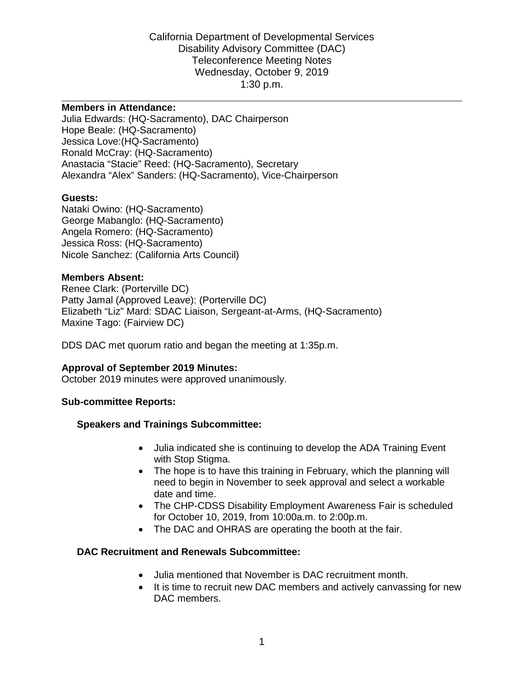#### **Members in Attendance:**

Julia Edwards: (HQ-Sacramento), DAC Chairperson Hope Beale: (HQ-Sacramento) Jessica Love:(HQ-Sacramento) Ronald McCray: (HQ-Sacramento) Anastacia "Stacie" Reed: (HQ-Sacramento), Secretary Alexandra "Alex" Sanders: (HQ-Sacramento), Vice-Chairperson

#### **Guests:**

Nataki Owino: (HQ-Sacramento) George Mabanglo: (HQ-Sacramento) Angela Romero: (HQ-Sacramento) Jessica Ross: (HQ-Sacramento) Nicole Sanchez: (California Arts Council)

#### **Members Absent:**

Renee Clark: (Porterville DC) Patty Jamal (Approved Leave): (Porterville DC) Elizabeth "Liz" Mard: SDAC Liaison, Sergeant-at-Arms, (HQ-Sacramento) Maxine Tago: (Fairview DC)

DDS DAC met quorum ratio and began the meeting at 1:35p.m.

#### **Approval of September 2019 Minutes:**

October 2019 minutes were approved unanimously.

#### **Sub-committee Reports:**

#### **Speakers and Trainings Subcommittee:**

- Julia indicated she is continuing to develop the ADA Training Event with Stop Stigma.
- The hope is to have this training in February, which the planning will need to begin in November to seek approval and select a workable date and time.
- The CHP-CDSS Disability Employment Awareness Fair is scheduled for October 10, 2019, from 10:00a.m. to 2:00p.m.
- The DAC and OHRAS are operating the booth at the fair.

#### **DAC Recruitment and Renewals Subcommittee:**

- Julia mentioned that November is DAC recruitment month.
- It is time to recruit new DAC members and actively canvassing for new DAC members.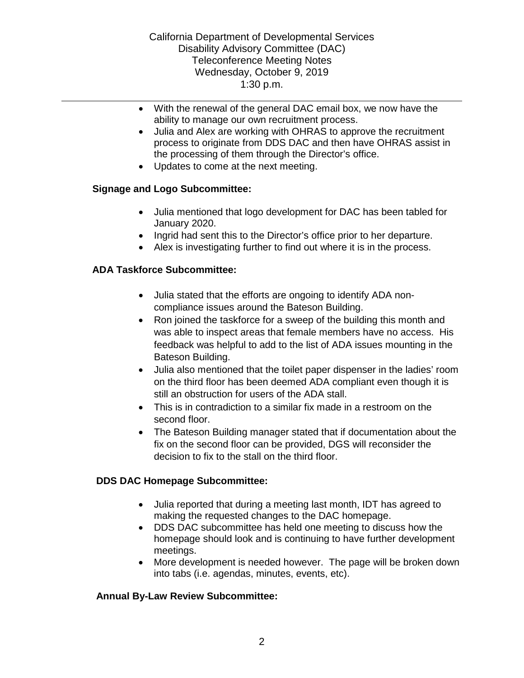- With the renewal of the general DAC email box, we now have the ability to manage our own recruitment process.
- Julia and Alex are working with OHRAS to approve the recruitment process to originate from DDS DAC and then have OHRAS assist in the processing of them through the Director's office.
- Updates to come at the next meeting.

# **Signage and Logo Subcommittee:**

- Julia mentioned that logo development for DAC has been tabled for January 2020.
- Ingrid had sent this to the Director's office prior to her departure.
- Alex is investigating further to find out where it is in the process.

# **ADA Taskforce Subcommittee:**

- Julia stated that the efforts are ongoing to identify ADA noncompliance issues around the Bateson Building.
- Ron joined the taskforce for a sweep of the building this month and was able to inspect areas that female members have no access. His feedback was helpful to add to the list of ADA issues mounting in the Bateson Building.
- Julia also mentioned that the toilet paper dispenser in the ladies' room on the third floor has been deemed ADA compliant even though it is still an obstruction for users of the ADA stall.
- This is in contradiction to a similar fix made in a restroom on the second floor.
- The Bateson Building manager stated that if documentation about the fix on the second floor can be provided, DGS will reconsider the decision to fix to the stall on the third floor.

## **DDS DAC Homepage Subcommittee:**

- Julia reported that during a meeting last month, IDT has agreed to making the requested changes to the DAC homepage.
- DDS DAC subcommittee has held one meeting to discuss how the homepage should look and is continuing to have further development meetings.
- More development is needed however. The page will be broken down into tabs (i.e. agendas, minutes, events, etc).

## **Annual By-Law Review Subcommittee:**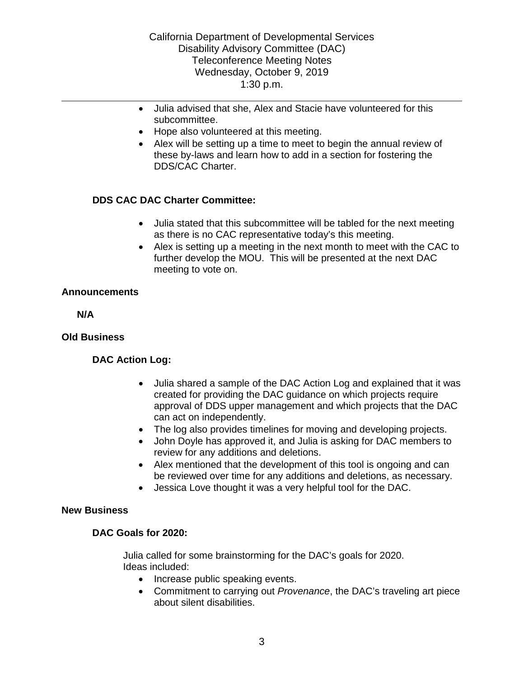- Julia advised that she, Alex and Stacie have volunteered for this subcommittee.
- Hope also volunteered at this meeting.
- Alex will be setting up a time to meet to begin the annual review of these by-laws and learn how to add in a section for fostering the DDS/CAC Charter.

# **DDS CAC DAC Charter Committee:**

- Julia stated that this subcommittee will be tabled for the next meeting as there is no CAC representative today's this meeting.
- Alex is setting up a meeting in the next month to meet with the CAC to further develop the MOU. This will be presented at the next DAC meeting to vote on.

### **Announcements**

**N/A**

### **Old Business**

## **DAC Action Log:**

- Julia shared a sample of the DAC Action Log and explained that it was created for providing the DAC guidance on which projects require approval of DDS upper management and which projects that the DAC can act on independently.
- The log also provides timelines for moving and developing projects.
- John Doyle has approved it, and Julia is asking for DAC members to review for any additions and deletions.
- Alex mentioned that the development of this tool is ongoing and can be reviewed over time for any additions and deletions, as necessary.
- Jessica Love thought it was a very helpful tool for the DAC.

### **New Business**

## **DAC Goals for 2020:**

Julia called for some brainstorming for the DAC's goals for 2020. Ideas included:

- Increase public speaking events.
- Commitment to carrying out *Provenance*, the DAC's traveling art piece about silent disabilities.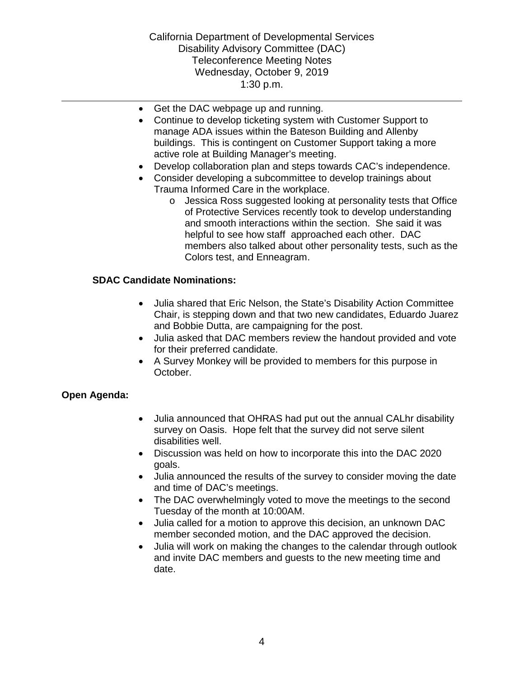- Get the DAC webpage up and running.
- Continue to develop ticketing system with Customer Support to manage ADA issues within the Bateson Building and Allenby buildings. This is contingent on Customer Support taking a more active role at Building Manager's meeting.
- Develop collaboration plan and steps towards CAC's independence.
- Consider developing a subcommittee to develop trainings about Trauma Informed Care in the workplace.
	- o Jessica Ross suggested looking at personality tests that Office of Protective Services recently took to develop understanding and smooth interactions within the section. She said it was helpful to see how staff approached each other. DAC members also talked about other personality tests, such as the Colors test, and Enneagram.

### **SDAC Candidate Nominations:**

- Julia shared that Eric Nelson, the State's Disability Action Committee Chair, is stepping down and that two new candidates, Eduardo Juarez and Bobbie Dutta, are campaigning for the post.
- Julia asked that DAC members review the handout provided and vote for their preferred candidate.
- A Survey Monkey will be provided to members for this purpose in October.

## **Open Agenda:**

- Julia announced that OHRAS had put out the annual CALhr disability survey on Oasis. Hope felt that the survey did not serve silent disabilities well.
- Discussion was held on how to incorporate this into the DAC 2020 goals.
- Julia announced the results of the survey to consider moving the date and time of DAC's meetings.
- The DAC overwhelmingly voted to move the meetings to the second Tuesday of the month at 10:00AM.
- Julia called for a motion to approve this decision, an unknown DAC member seconded motion, and the DAC approved the decision.
- Julia will work on making the changes to the calendar through outlook and invite DAC members and guests to the new meeting time and date.